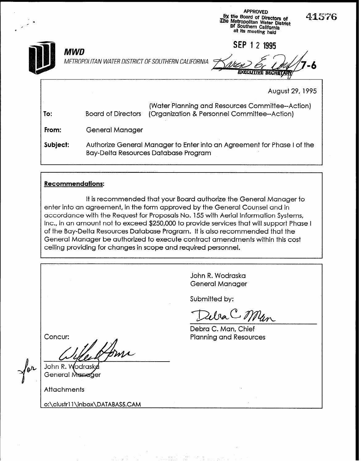|          |                                                    | <b>APPROVED</b><br>41576<br>by the Board of Directors of<br>The Metropolitan Water District<br>of Southern California<br>at its meeting held |  |
|----------|----------------------------------------------------|----------------------------------------------------------------------------------------------------------------------------------------------|--|
| MWD      | METROPOLITAN WATER DISTRICT OF SOUTHERN CALIFORNIA | <b>SEP</b><br>2 1995<br><b>SECRET</b>                                                                                                        |  |
|          |                                                    | August 29, 1995                                                                                                                              |  |
| To:      | <b>Board of Directors</b>                          | (Water Planning and Resources Committee--Action)<br>(Organization & Personnel Committee--Action)                                             |  |
| From:    | <b>General Manager</b>                             |                                                                                                                                              |  |
| Subject: |                                                    | Authorize General Manager to Enter into an Agreement for Phase I of the<br>Bay-Delta Resources Database Program                              |  |

## Recommendations:

It is recommended that your Board authorize the General Manager to enter into an agreement, in the form approved by the General Counsel and in accordance with the Request for Proposals No. 155 with Aerial Information Systems, Inc., in an amount not to exceed \$250,000 to provide services that will support Phase I of the Bay-Delta Resources Database Program. It is also recommended that the General Manager be authorized to execute contract amendments within this cost ceiling providing for changes in scope and required personnel.

> John R. Wodraska General Manager

Submitted by:

DebaC Man

Debra C. Man, Chief Planning and Resources

Concur:

for

John R. W odraske General Manager

**Attachments** 

o:\clustr11\inbox\DATABAS5.CAM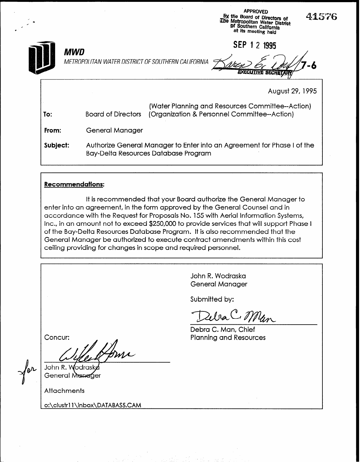|          |                                                    | <b>APPROVED</b><br>415<br>by the Board of Directors of<br>The Metropolitan Water District<br>of Southern California<br>at its meeting held |
|----------|----------------------------------------------------|--------------------------------------------------------------------------------------------------------------------------------------------|
| MWD      | METROPOLITAN WATER DISTRICT OF SOUTHERN CALIFORNIA | SEP 1 2 1995                                                                                                                               |
|          |                                                    | August 29, 1995                                                                                                                            |
| To:      | <b>Board of Directors</b>                          | (Water Planning and Resources Committee--Action)<br>(Organization & Personnel Committee--Action)                                           |
| From:    | <b>General Manager</b>                             |                                                                                                                                            |
| Subject: |                                                    | Authorize General Manager to Enter into an Agreement for Phase I of the<br><b>Bay-Delta Resources Database Program</b>                     |

## Recommendations:

It is recommended that your Board authorize the General Manager to enter into an agreement, in the form approved by the General Counsel and in accordance with the Request for Proposals No. 155 with Aerial Information Systems, Inc., in an amount not to exceed \$250,000 to provide services that will support Phase I of the Bay-Delta Resources Database Program. It is also recommended that the General Manager be authorized to execute contract amendments within this cost ceiling providing for changes in scope and required personnel.

> John R. Wodraska General Manager

Submitted by:

Zeba C. Man

76

Debra C. Man, Chief Planning and Resources

Concur:

for

John R. V <sup>1</sup>odrask General Manager

**Attachments** 

L

o:\clustrl 1 \inbox\DATABASS.CAM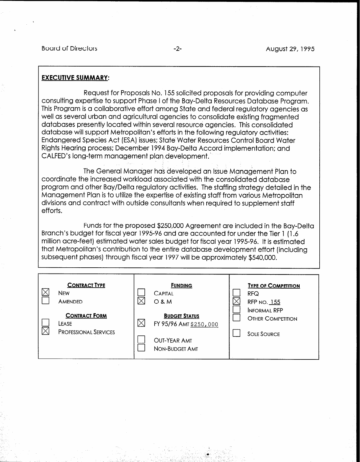Board of Directors **-2-** August 29, 1995

## **EXECUTIVE SUMMARY:**

Request for Proposals No. 155 solicited proposals for providing computer consulting expertise to support Phase I of the Bay-Delta Resources Database Program. This Program is a collaborative effort among State and federal regulatory agencies as well as several urban and agricultural agencies to consolidate existing fragmented databases presently located within several resource agencies. This consolidated database will support Metropolitan's efforts in the following regulatory activities: Endangered Species Act (ESA) issues; State Water Resources Control Board Water Rights Hearing process; December 1994 Bay-Delta Accord implementation; and CALFED's long-term management plqn development.

The General Manager has developed an Issue Management Plan to coordinate the increased workload associated with the consolidated database program and other Bay/Delta regulatory activities. The staffing strategy detailed in the Management Plan is to utilize the expertise of existing staff from various Metropolitan divisions and contract with outside consultants when required to supplement staff efforts.

Funds for the proposed \$250,000 Agreement are included in the Bay-Delta Branch's budget for fiscal year 1995-96 and are accounted for under the Tier 1 (1.6 million acre-feet) estimated water sales budget for fiscal year 1995-96. It is estimated that Metropolitan's contribution to the entire database development effort [including subsequent phases] through fiscal year 1997 will be approximately \$540,000.

| <b>CONTRACT TYPE</b><br><b>NEW</b><br>AMENDED                 | <b>FUNDING</b><br><b>CAPITAL</b><br><b>O &amp; M</b>                                    | <b>TYPE OF COMPETITION</b><br><b>RFQ</b><br>RFP NO. 155               |
|---------------------------------------------------------------|-----------------------------------------------------------------------------------------|-----------------------------------------------------------------------|
| <b>CONTRACT FORM</b><br>LEASE<br><b>PROFESSIONAL SERVICES</b> | <b>BUDGET STATUS</b><br>FY 95/96 AMT \$250,000<br><b>OUT-YEAR AMT</b><br>NON-BUDGET AMT | <b>INFORMAL RFP</b><br><b>OTHER COMPETITION</b><br><b>SOLE SOURCE</b> |

.<br>1990년 - 대한민국의 대한민국의 대한민국의 대한민국의 대한민국의 대한민국의 대한민국의 대한민국의 대한민국의 대한민국의 대한민국의 대한민국의 대한민국의 대한민국의 대한민국의 대한민국의 대한민국의<br>1990년 - 대한민국의 대한민국의 대한민국의 대한민국의 대한민국의 대한민국의 대한민국의 대한민국의 대한민국의 대한민국의 대한민국의 대한민국의 대한민

\_ .

 $\bullet$  .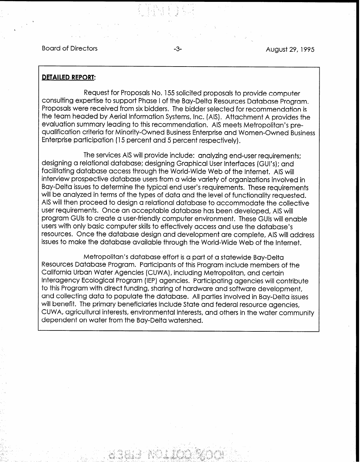Board of Directors -3- August 29, 1995

.

#### DETAILED REPORT:

Request for Proposals No. 155 solicited proposals to provide computer consulting expertise to support Phase I of the Bay-Delta Resources Database Program. Proposals were received from six bidders. The bidder selected for recommendation is the team headed by Aerial Information Systems, Inc. (AIS). Attachment A provides the evaluation summary leading to this recommendation. AIS meets Metropolitan's prequalification criteria for Minority-Owned Business Enterprise and Women-Owned Business Enterprise participation (15 percent and 5 percent respectively).

\* > z

d :I

.-

The services AIS will provide include: analyzing end-user requirements; designing a relational database; designing Graphical User Interfaces (GUI's); and facilitating database access through the World-Wide Web of the Internet. AIS will interview prospective database users from a wide variety of organizations involved in Bay-Delta issues to determine the typical end user's requirements. These requirements will be analyzed in terms of the types of data and the level of functionality requested. AIS will then proceed to design a relational database to accommodate the collective user requirements. Once an acceptable database has been developed, AIS will program GUls to create a user-friendly computer environment. These GUIs will enable users with only basic computer skills to effectively access and use the database's resources. Once the database design and development are complete, AIS will address issues to make the database available through the World-Wide Web of the Internet.

Metropolitan's database effort is a part of a statewide Bay-Delta Resources Database Program. Participants of this Program include members of the California Urban Water Agencies (CUWA), including Metropolitan, and certain Interagency Ecological Program (IEP) agencies. Participating agencies will contribute to this Program with direct funding, sharing of hardware and software development, and collecting data to populate the database. All parties involved in Bay-Delta issues will benefit. The primary beneficiaries include State and federal resource agencies, CUWA, agricultural interests, environmental interests, and others in the water community dependent on water from the Bay-Delta watershed.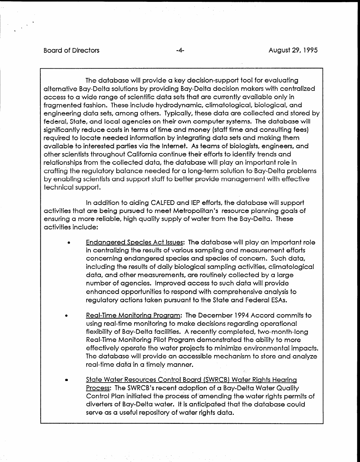#### Board of Directors **Fig. 1995 -4-** August 29, 1995

The database will provide a key decision-support tool for evaluating alternative Bay-Delta solutions by providing Bay-Delta decision makers with centralized access to a wide range of scientific data sets that are currently available only in fragmented fashion. These include hydrodynamic, climatological, biological, and engineering data sets, among others. Typically, these data are collected and stored by federal, State, and local agencies on their own computer systems. The database will significantly reduce costs in terms of time and money (staff time and consulting fees) required to locate needed information by integrating data sets and making them available to interested parties via the Internet. As teams of biologists, engineers, and other scientists throughout California continue their efforts to identify trends and relationships from the collected data, the database will play an important role in crafting the regulatory balance needed for a long-term solution to Bay-Delta problems by enabling scientists and support staff to better provide management with effective technical support.

In addition to aiding CALFED and IEP efforts, the database will support activities that are being pursued to meet Metropolitan's resource planning goals of ensuring a more reliable, high quality supply of water from the Bay-Delta. These activities include:

- <sup>0</sup>Endanaered Species Act Issues: The database will play an important role in centralizing the results of various sampling and measurement efforts concerning endangered species and species of concern. Such data, including the results of daily biological sampling activities, climatological data, and other measurements, are routinely collected by a large number of agencies. Improved access to such data will provide enhanced opportunities to respond with comprehensive analysis to regulatory actions taken pursuant to the State and Federal ESAs.
- <sup>0</sup>Real-Time Monitoring Proaram: The December 1994 Accord commits to usuring monitoring regarding the becember 1774 Accord components in the second operations in the second operations in the second operations in the second operations in the second operations in the second operations in the flexibility of Bay-Delta facilities. A recently completed, the completed of the complete of the complete of the complete decision is regarding operational. flexibility of Bay-Delta facilities. A recently completed, two-month-long Real-Time Monitoring Pilot Program demonstrated the ability to more effectively operate the water projects to minimize environmental impacts. The database will provide an accessible mechanism to store and analyze real-time data in a timely manner.
- 0 State Water Resources Control'Board (SWRCB) Water Riahts Hearing <u>Sigle water resources Control Board (SWRCB) water rights Hearing</u> Process: The SWRCB's recent adoption of a Bay-Delta Water Quality Control Plan initiated the process of amending the water rights permits of diverters of Bay-Delta water. It is anticipated that the database could serve as a useful repository of water rights data.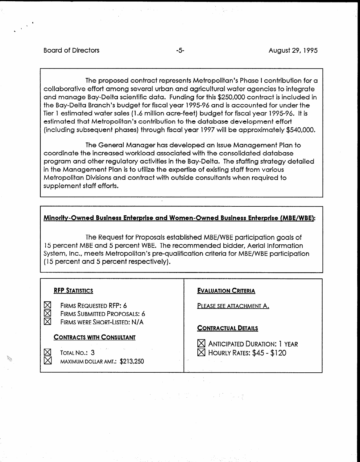#### Board of Directors **-5-** August 29, 1995

The proposed contract represents Metropolitan's Phase I contribution for a collaborative effort among several urban and agricultural water agencies to integrate and manage Bay-Delta scientific data. Funding for this \$250,000 contract is included in the Bay-Delta Branch's budget for fiscal year 1995-96 and is accounted for under the Tier 1 estimated water sales (1.6 million acre-feet) budget for fiscal year 1995-96. It is estimated that Metropolitan's contribution to the database development effort (including subsequent phases) through fiscal year 1997 will be approximately \$540,000.

The General Manager has developed an Issue Management Plan to coordinate the increased workload associated with the consolidated database program and other regulatory activities in the Bay-Delta. The sfaffing strategy detailed in the Management Plan is to utilize the expertise of existing staff from various Metropolitan Divisions and contract with outside consultants when required to supplement staff efforts.

## Minority-Owned Business Enterprise and Women-Owned Business Enterprise (MBE/WBE):

The Request for Proposals established MBE/WBE participation goals of 15 percent MBE and 5 percent WBE. The recommended bidder, Aerial Information System, Inc., meets Metropolitan's pre-qualification criteria for MBE/WBE participation (15 percent and 5 percent respectively).

| <b>RFP STATISTICS</b>                                                                                          | <b>EVALUATION CRITERIA</b>                                                                   |
|----------------------------------------------------------------------------------------------------------------|----------------------------------------------------------------------------------------------|
| <b>N<br/>N<br/>N</b><br>FIRMS REQUESTED RFP: 6<br>FIRMS SUBMITTED PROPOSALS: 6<br>FIRMS WERE SHORT-LISTED: N/A | PLEASE SEE ATTACHMENT A.                                                                     |
| <b>CONTRACTS WITH CONSULTANT</b>                                                                               | <b>CONTRACTUAL DETAILS</b>                                                                   |
| $\boxtimes$<br>TOTAL NO.: 3<br>MAXIMUM DOLLAR AMT.: \$213,250                                                  | $\boxtimes$ Anticipated Duration: 1 Year<br>$\boxtimes$ HOURLY RATES: \$45 - \$120<br>$\sim$ |

**地位的** 

ै के देखें